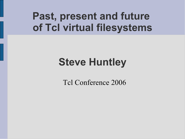## **Past, present and future of Tcl virtual filesystems**

# **Steve Huntley**

Tcl Conference 2006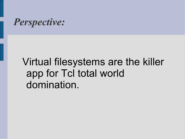

## Virtual filesystems are the killer app for Tcl total world domination.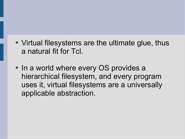- Virtual filesystems are the ultimate glue, thus a natural fit for Tcl.
- In a world where every OS provides a hierarchical filesystem, and every program uses it, virtual filesystems are a universally applicable abstraction.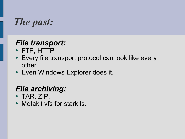

#### *File transport:*

- FTP, HTTP
- Every file transport protocol can look like every other.
- Even Windows Explorer does it.

#### *File archiving:*

- $\bullet$  TAR, ZIP.
- Metakit vfs for starkits.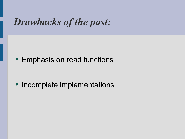### *Drawbacks of the past:*

• Emphasis on read functions

• Incomplete implementations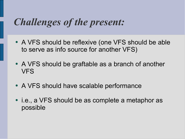### *Challenges of the present:*

- A VFS should be reflexive (one VFS should be able to serve as info source for another VFS)
- A VFS should be graftable as a branch of another VFS
- A VFS should have scalable performance
- i.e., a VFS should be as complete a metaphor as possible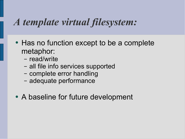### *A template virtual filesystem:*

- Has no function except to be a complete metaphor:
	- read/write
	- all file info services supported
	- complete error handling
	- adequate performance
- A baseline for future development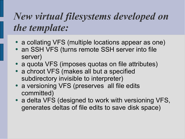## *New virtual filesystems developed on the template:*

- a collating VFS (multiple locations appear as one)
- an SSH VFS (turns remote SSH server into file server)
- a quota VFS (imposes quotas on file attributes)
- a chroot VFS (makes all but a specified subdirectory invisible to interpreter)
- a versioning VFS (preserves all file edits committed)
- a delta VFS (designed to work with versioning VFS, generates deltas of file edits to save disk space)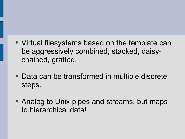- Virtual filesystems based on the template can be aggressively combined, stacked, daisychained, grafted.
- Data can be transformed in multiple discrete steps.
- Analog to Unix pipes and streams, but maps to hierarchical data!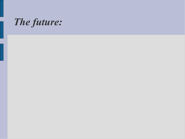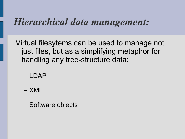#### *Hierarchical data management:*

Virtual filesytems can be used to manage not just files, but as a simplifying metaphor for handling any tree-structure data:

- LDAP
- XML
- Software objects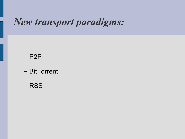### *New transport paradigms:*

$$
- P2P
$$

- BitTorrent
- RSS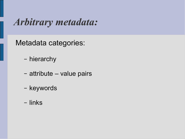### *Arbitrary metadata:*

Metadata categories:

- hierarchy
- attribute value pairs
- keywords
- links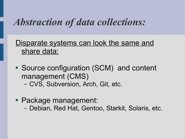### *Abstraction of data collections:*

Disparate systems can look the same and share data:

- Source configuration (SCM) and content management (CMS)
	- CVS, Subversion, Arch, Git, etc.
- Package management:
	- Debian, Red Hat, Gentoo, Starkit, Solaris, etc.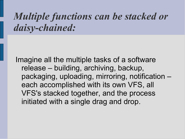### *Multiple functions can be stacked or daisy-chained:*

Imagine all the multiple tasks of a software release – building, archiving, backup, packaging, uploading, mirroring, notification – each accomplished with its own VFS, all VFS's stacked together, and the process initiated with a single drag and drop.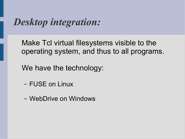### *Desktop integration:*

Make Tcl virtual filesystems visible to the operating system, and thus to all programs.

We have the technology:

- FUSE on Linux
- WebDrive on Windows